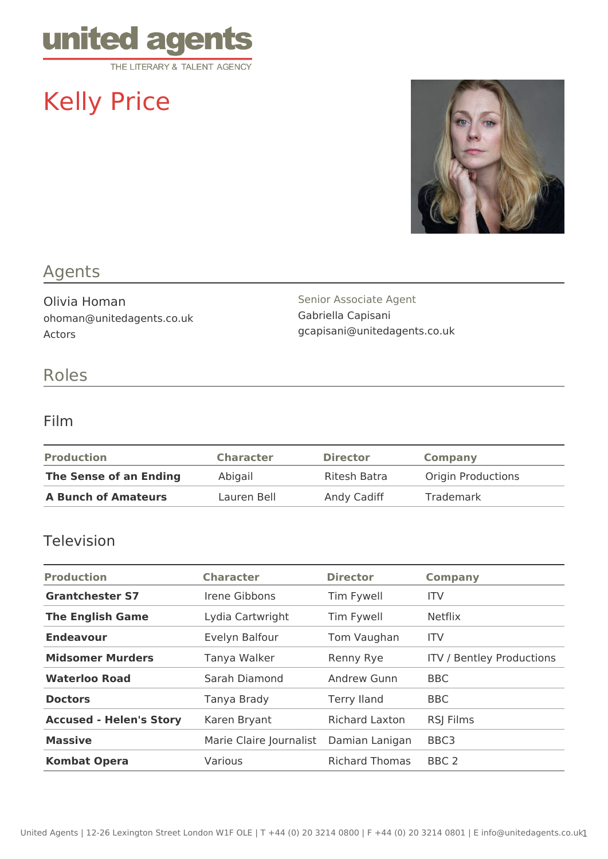

# Kelly Price



## Agents

Olivia Homan ohoman@unitedagents.co.uk Actors

Senior Associate Agent Gabriella Capisani gcapisani@unitedagents.co.uk

### Roles

#### Film

| <b>Production</b>          | <b>Character</b> | <b>Director</b> | Company                   |
|----------------------------|------------------|-----------------|---------------------------|
| The Sense of an Ending     | Abigail          | Ritesh Batra    | <b>Origin Productions</b> |
| <b>A Bunch of Amateurs</b> | Lauren Bell      | Andy Cadiff     | Trademark                 |

#### Television

| <b>Production</b>              | <b>Character</b>        | <b>Director</b>       | <b>Company</b>                   |
|--------------------------------|-------------------------|-----------------------|----------------------------------|
| <b>Grantchester S7</b>         | Irene Gibbons           | Tim Fywell            | <b>ITV</b>                       |
| <b>The English Game</b>        | Lydia Cartwright        | Tim Fywell            | <b>Netflix</b>                   |
| <b>Endeavour</b>               | Evelyn Balfour          | Tom Vaughan           | <b>ITV</b>                       |
| <b>Midsomer Murders</b>        | Tanya Walker            | Renny Rye             | <b>ITV / Bentley Productions</b> |
| <b>Waterloo Road</b>           | Sarah Diamond           | <b>Andrew Gunn</b>    | <b>BBC</b>                       |
| <b>Doctors</b>                 | Tanya Brady             | <b>Terry Iland</b>    | <b>BBC</b>                       |
| <b>Accused - Helen's Story</b> | Karen Bryant            | <b>Richard Laxton</b> | <b>RSI Films</b>                 |
| <b>Massive</b>                 | Marie Claire Journalist | Damian Lanigan        | BBC <sub>3</sub>                 |
| <b>Kombat Opera</b>            | Various                 | <b>Richard Thomas</b> | BBC <sub>2</sub>                 |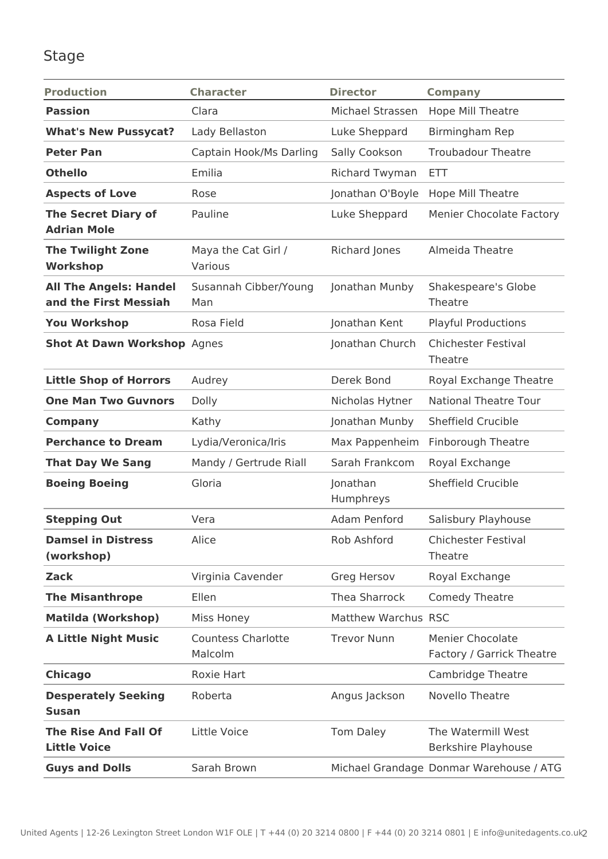## Stage

| <b>Production</b>                                      | <b>Character</b>                     | <b>Director</b>       | <b>Company</b>                                       |
|--------------------------------------------------------|--------------------------------------|-----------------------|------------------------------------------------------|
| <b>Passion</b>                                         | Clara                                | Michael Strassen      | Hope Mill Theatre                                    |
| <b>What's New Pussycat?</b>                            | Lady Bellaston                       | Luke Sheppard         | Birmingham Rep                                       |
| <b>Peter Pan</b>                                       | Captain Hook/Ms Darling              | Sally Cookson         | <b>Troubadour Theatre</b>                            |
| <b>Othello</b>                                         | Emilia                               | <b>Richard Twyman</b> | ETT                                                  |
| <b>Aspects of Love</b>                                 | Rose                                 | Jonathan O'Boyle      | Hope Mill Theatre                                    |
| <b>The Secret Diary of</b><br><b>Adrian Mole</b>       | Pauline                              | Luke Sheppard         | <b>Menier Chocolate Factory</b>                      |
| <b>The Twilight Zone</b><br><b>Workshop</b>            | Maya the Cat Girl /<br>Various       | Richard Jones         | Almeida Theatre                                      |
| <b>All The Angels: Handel</b><br>and the First Messiah | Susannah Cibber/Young<br>Man         | Jonathan Munby        | Shakespeare's Globe<br>Theatre                       |
| <b>You Workshop</b>                                    | Rosa Field                           | Jonathan Kent         | <b>Playful Productions</b>                           |
| <b>Shot At Dawn Workshop Agnes</b>                     |                                      | Jonathan Church       | <b>Chichester Festival</b><br>Theatre                |
| <b>Little Shop of Horrors</b>                          | Audrey                               | Derek Bond            | Royal Exchange Theatre                               |
| <b>One Man Two Guvnors</b>                             | Dolly                                | Nicholas Hytner       | <b>National Theatre Tour</b>                         |
| <b>Company</b>                                         | Kathy                                | Jonathan Munby        | Sheffield Crucible                                   |
| <b>Perchance to Dream</b>                              | Lydia/Veronica/Iris                  | Max Pappenheim        | <b>Finborough Theatre</b>                            |
| <b>That Day We Sang</b>                                | Mandy / Gertrude Riall               | Sarah Frankcom        | Royal Exchange                                       |
| <b>Boeing Boeing</b>                                   | Gloria                               | Jonathan<br>Humphreys | <b>Sheffield Crucible</b>                            |
| <b>Stepping Out</b>                                    | Vera                                 | Adam Penford          | Salisbury Playhouse                                  |
| <b>Damsel in Distress</b><br>(workshop)                | Alice                                | Rob Ashford           | <b>Chichester Festival</b><br>Theatre                |
| <b>Zack</b>                                            | Virginia Cavender                    | Greg Hersov           | Royal Exchange                                       |
| <b>The Misanthrope</b>                                 | Ellen                                | Thea Sharrock         | <b>Comedy Theatre</b>                                |
| <b>Matilda (Workshop)</b>                              | Miss Honey                           | Matthew Warchus RSC   |                                                      |
| <b>A Little Night Music</b>                            | <b>Countess Charlotte</b><br>Malcolm | <b>Trevor Nunn</b>    | <b>Menier Chocolate</b><br>Factory / Garrick Theatre |
| <b>Chicago</b>                                         | Roxie Hart                           |                       | <b>Cambridge Theatre</b>                             |
| <b>Desperately Seeking</b><br><b>Susan</b>             | Roberta                              | Angus Jackson         | Novello Theatre                                      |
| <b>The Rise And Fall Of</b><br><b>Little Voice</b>     | Little Voice                         | <b>Tom Daley</b>      | The Watermill West<br>Berkshire Playhouse            |
| <b>Guys and Dolls</b>                                  | Sarah Brown                          |                       | Michael Grandage Donmar Warehouse / ATG              |